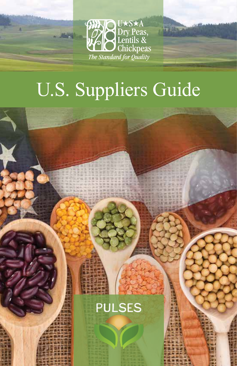

The Block

# U.S. Suppliers Guide

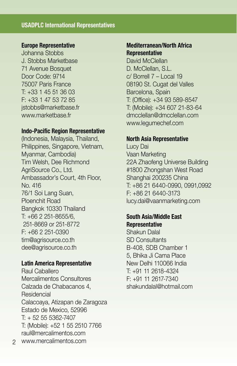#### **USADPLC International Representatives**

#### **Europe Representative**

Johanna Stobbs J. Stobbs Marketbase 71 Avenue Bosquet Door Code: 9714 75007 Paris France T: +33 1 45 51 36 03 F: +33 1 47 53 72 85 jstobbs@marketbase.fr www.marketbase.fr

#### **Indo-Pacific Region Representative**

(Indonesia, Malaysia, Thailand, Philippines, Singapore, Vietnam, Myanmar, Cambodia) Tim Welsh, Dee Richmond AgriSource Co., Ltd. Ambassador's Court, 4th Floor, No. 416 76/1 Soi Lang Suan, Ploenchit Road Bangkok 10330 Thailand T: +66 2 251-8655/6, 251-8669 or 251-8772  $F: +66$  2 251-0390 tim@agrisource.co.th dee@agrisource.co.th

#### **Latin America Representative**

Raul Caballero Mercalimentos Consultores Calzada de Chabacanos 4, Residencial Calacoaya, Atizapan de Zaragoza Estado de Mexico, 52996 T: + 52 55 5362-7407 T: (Mobile): +52 1 55 2510 7766 raul@mercalimentos.com www.mercalimentos.com 2

#### **Mediterranean/North Africa Representative**

David McClellan D. McClellan, S.L.  $c/$  Borrell  $7 - 1$  ocal 19 08190 St. Cugat del Valles Barcelona, Spain T: (Office): +34 93 589-8547 T: (Mobile): +34 607 21-83-64 dmcclellan@dmcclellan.com www.legumechef.com

#### **North Asia Representative**

Lucy Dai Vaan Marketing 22A Zhaofeng Universe Building #1800 Zhongshan West Road Shanghai 200235 China T: +86 21 6440-0990, 0991,0992 F: +86 21 6440-3173 lucy.dai@vaanmarketing.com

#### **South Asia/Middle East Representative**

Shakun Dalal SD Consultants B-408, SDB Chamber 1 5, Bhika Ji Cama Place New Delhi 110066 India T: +91 11 2618-4324 F: +91 11 2617-7340 shakundalal@hotmail.com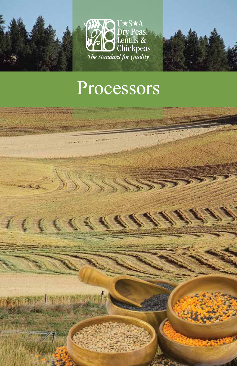

U\*S\*A Dry Peas,<br>Lentils &<br>The Standard for Quality



# Processors

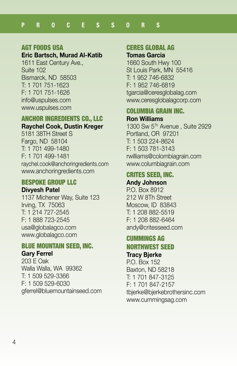#### AGT FOODS USA

#### **Eric Bartsch, Murad Al-Katib**

1611 East Century Ave., Suite 102 Bismarck, ND 58503 T: 1 701 751-1623 F: 1 701 751-1626 info@uspulses.com www.uspulses.com

#### ANCHOR INGREDIENTS CO., LLC **Raychel Cook, Dustin Kreger**

5181 38TH Street S Fargo, ND 58104 T: 1 701 499-1480 F: 1 701 499-1481 raychel.cook@anchoringredients.com www.anchoringredients.com

#### BESPOKE GROUP LLC

**Divyesh Patel** 1137 Michener Way, Suite 123 Irving, TX 75063 T: 1 214 727-2545

F: 1 888 723-2545 usa@globalagco.com www.globalagco.com

#### BLUE MOUNTAIN SEED, INC.

#### **Gary Ferrel**

203 E Oak Walla Walla, WA 99362 T: 1 509 529-3366 F: 1 509 529-6030 gferrel@bluemountainseed.com

## CERES GLOBAL AG

#### **Tomas Garcia**

1660 South Hwy 100 St Louis Park, MN 55416 T: 1 952 746-6832 F: 1 952 746-6819 tgarcia@ceresglobalag.com www.ceresglobalagcorp.com

#### COLUMBIA GRAIN INC.

#### **Ron Williams**

1300 Sw 5Th Avenue , Suite 2929 Portland, OR 97201 T: 1 503 224-8624 F: 1 503 781-3143 rwilliams@colombiagrain.com www.columbiagrain.com

#### CRITES SEED, INC. **Andy Johnson**

P.O. Box 8912 212 W 8Th Street Moscow, ID 83843 T: 1 208 882-5519 F: 1 208 882-6464 andy@critesseed.com

#### CUMMINGS AG NORTHWEST SEED **Tracy Bjerke**

P.O. Box 152 Baxton, ND 58218 T: 1 701 847-3125 F: 1 701 847-2157 tbjerke@bjerkebrothersinc.com www.cummingsag.com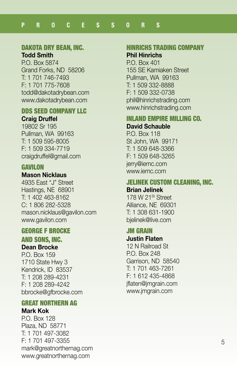# DAKOTA DRY BEAN, INC.

**Todd Smith**

P.O. Box 5874 Grand Forks, ND 58206 T: 1 701 746-7493 F: 1 701 775-7608 todd@dakotadrybean.com www.dakotadrybean.com

#### DDS SEED COMPANY LLC **Craig Druffel**

19802 Sr 195 Pullman, WA 99163 T: 1 509 595-8005 F: 1 509 334-7719 craigdruffel@gmail.com

#### **GAVILON**

#### **Mason Nicklaus**

4935 East "J" Street Hastings, NE 68901 T: 1 402 463-8162 C: 1 806 282-5328 mason.nicklaus@gavilon.com www.gavilon.com

#### GEORGE F BROCKE

#### AND SONS, INC. **Dean Brocke**

P.O. Box 159 1710 State Hwy 3 Kendrick, ID 83537 T: 1 208 289-4231 F: 1 208 289-4242 bbrocke@gfbrocke.com

#### GREAT NORTHERN AG **Mark Kok**

P.O. Box 128 Plaza, ND 58771 T: 1 701 497-3082 F: 1 701 497-3355 mark@greatnorthernag.com www.greatnorthernag.com

#### HINRICHS TRADING COMPANY **Phil Hinrichs**

P.O. Box 401 155 SE Kamiaken Street Pullman, WA 99163 T: 1 509 332-8888 F: 1 509 332-0738 phil@hinrichstrading.com www.hinrichstrading.com

#### INLAND EMPIRE MILLING CO. **David Schauble**

P.O. Box 118 St John, WA 99171 T: 1 509 648-3366 F: 1 509 648-3265 jerry@iemc.com www.iemc.com

# JELINEK CUSTOM CLEANING, INC.

#### **Brian Jelinek**

178 W 21St Street Alliance, NE 69301 T: 1 308 631-1900 bjelinek@live.com

#### JM GRAIN

#### **Justin Flaten**

12 N Railroad St P.O. Box 248 Garrison, ND 58540 T: 1 701 463-7261 F: 1 612 435-4868 jflaten@jmgrain.com www.jmgrain.com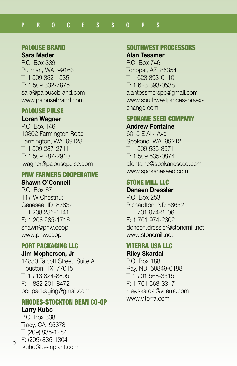#### PALOUSE BRAND

#### **Sara Mader**

P.O. Box 339 Pullman, WA 99163 T: 1 509 332-1535 F: 1 509 332-7875 sara@palousebrand.com www.palousebrand.com

#### PALOUSE PULSE

#### **Loren Wagner**

P.O. Box 146 10302 Farmington Road Farmington, WA 99128 T: 1 509 287-2711 F: 1 509 287-2910 lwagner@palousepulse.com

# PNW FARMERS COOPERATIVE

# **Shawn O'Connell**

P.O. Box 67 117 W Chestnut Genesee, ID 83832 T: 1 208 285-1141 F: 1 208 285-1716 shawn@pnw.coop www.pnw.coop

#### PORT PACKAGING LLC

#### **Jim Mcpherson, Jr**

14830 Talcott Street, Suite A Houston, TX 77015 T: 1 713 824-8805 F: 1 832 201-8472 portpackaging@gmail.com

# RHODES-STOCKTON BEAN CO-OP

#### **Larry Kubo**

6

P.O. Box 338 Tracy, CA 95378 T: (209) 835-1284 F: (209) 835-1304 lkubo@beanplant.com

#### SOUTHWEST PROCESSORS

#### **Alan Tessmer**

P.O. Box 746 Tonopal, AZ 85354 T: 1 623 393-0110 F: 1 623 393-0538 alantessmerspe@gmail.com www.southwestprocessorsexchange.com

#### SPOKANE SEED COMPANY **Andrew Fontaine**

6015 E Alki Ave Spokane, WA 99212 T: 1 509 535-3671 F: 1 509 535-0874 afontaine@spokaneseed.com www.spokaneseed.com

# STONE MILL LLC

#### **Daneen Dressler**

P.O. Box 253 Richardton, ND 58652 T: 1 701 974-2106 F: 1 701 974-2302 doneen.dressler@stonemill.net www.stonemill.net

#### VITERRA USA LLC **Riley Skardal**

P.O. Box 188 Ray, ND 58849-0188 T: 1 701 568-3315 F: 1 701 568-3317 riley.skardal@viterra.com www.viterra.com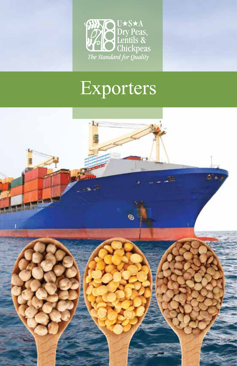

# Exporters

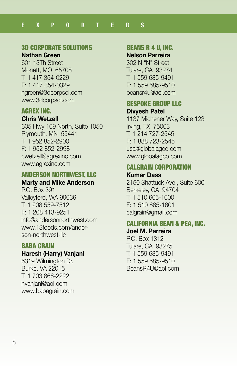# 3D CORPORATE SOLUTIONS

#### **Nathan Green**

601 13Th Street Monett, MO 65708 T: 1 417 354-0229 F: 1 417 354-0329 ngreen@3dcorpsol.com www.3dcorpsol.com

#### AGREX INC.

#### **Chris Wetzell**

605 Hwy 169 North, Suite 1050 Plymouth, MN 55441 T: 1 952 852-2900 F: 1 952 852-2998 cwetzell@agrexinc.com www.agrexinc.com

# ANDERSON NORTHWEST, LLC

#### **Marty and Mike Anderson** P.O. Box 391 Valleyford, WA 99036

T: 1 208 559-7512 F: 1 208 413-9251 info@andersonnorthwest.com www.13foods.com/anderson-northwest-llc

#### BABA GRAIN

#### **Haresh (Harry) Vanjani**

6319 Wilmington Dr. Burke, VA 22015 T: 1 703 866-2222 hvanjani@aol.com www.babagrain.com

# BEANS R 4 U, INC.

#### **Nelson Parreira**

302 N "N" Street Tulare, CA 93274 T: 1 559 685-9491 F: 1 559 685-9510 beansr4u@aol.com

#### BESPOKE GROUP LLC **Divyesh Patel**

1137 Michener Way, Suite 123 Irving, TX 75063 T: 1 214 727-2545 F: 1 888 723-2545 usa@globalagco.com www.globalagco.com

#### CALGRAIN CORPORATION **Kumar Dass**

2150 Shattuck Ave., Suite 600 Berkeley, CA 94704 T: 1 510 665-1600 F: 1 510 665-1601 calgrain@gmail.com

#### CALIFORNIA BEAN & PEA, INC. **Joel M. Parreira**

P.O. Box 1312 Tulare, CA 93275 T: 1 559 685-9491 F: 1 559 685-9510 BeansR4U@aol.com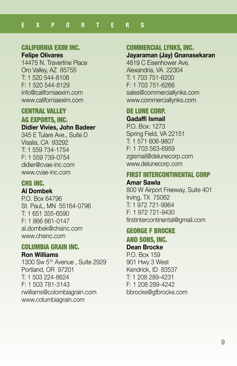#### CALIFORNIA EXIM INC.

**Felipe Olivares**

14475 N. Travertine Place Oro Valley, AZ 85755 T: 1 520 544-8108 F: 1 520 544-8129 info@californiaexim.com www.californiaexim.com

#### **CENTRAL VALLEY**

#### AG EXPORTS, INC. **Didier Vivies, John Badeer**

345 E Tulare Ave., Suite D Visalia, CA 93292 T: 1 559 734-1754 F: 1 559 739-0754 didier@cvae-inc.com www.cvae-inc.com

#### CHS INC.

**Al Dombek**

P.O. Box 64796 St. PauL, MN 55164-0796 T: 1 651 355-6590 F: 1 866 661-0147 al.dombek@chsinc.com www.chsinc.com

#### COLUMBIA GRAIN INC.

#### **Ron Williams**

1300 Sw 5Th Avenue , Suite 2929 Portland, OR 97201 T: 1 503 224-8624 F: 1 503 781-3143 rwilliams@colombiagrain.com www.columbiagrain.com

#### COMMERCIAL LYNKS, INC.

# **Jayaraman (Jay) Gnanasekaran**

4819 C Eisenhower Ave. Alexandria, VA 22304 T: 1 703 751-6200 F: 1 703 751-6266 sales@commerciallynks.com www.commerciallynks.com

# DE LUNE CORP.

**Gadaffi Ismail**

P.O. Box: 1273 Spring Field, VA 22151 T: 1 571 606-9807 F: 1 703 563-6959 zgismail@delunecorp.com www.delunecorp.com

#### FIRST INTERCONTINENTAL CORP **Amar Sawla**

800 W Airport Freeway, Suite 401 Irving, TX 75062 T: 1 972 721-9964 F: 1 972 721-9430 firstintercontinental@gmail.com

# GEORGE F BROCKE

AND SONS, INC. **Dean Brocke**

P.O. Box 159 901 Hwy 3 West Kendrick, ID 83537 T: 1 208 289-4231 F: 1 208 289-4242 bbrocke@gfbrocke.com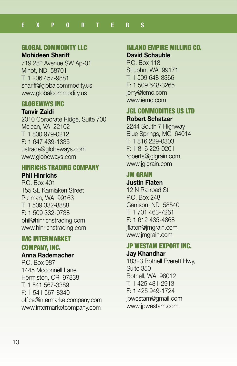# GLOBAL COMMODITY LLC

**Mohideen Shariff**

719 28th Avenue SW Ap-01 Minot, ND 58701 T: 1 206 457-9881 shariff@globalcommodity.us www.globalcommodity.us

# GLOBEWAYS INC

#### **Tanvir Zaidi**

2010 Corporate Ridge, Suite 700 Mclean, VA 22102 T: 1 800 979-0212 F: 1 647 439-1335 ustrade@globeways.com www.globeways.com

#### HINRICHS TRADING COMPANY **Phil Hinrichs**

P.O. Box 401 155 SE Kamiaken Street Pullman, WA 99163 T: 1 509 332-8888 F: 1 509 332-0738 phil@hinrichstrading.com www.hinrichstrading.com

# IMC INTERMARKET COMPANY, INC.

#### **Anna Rademacher**

P.O. Box 987 1445 Mcconnell Lane Hermiston, OR 97838 T: 1 541 567-3389 F: 1 541 567-8340 office@intermarketcompany.com www.intermarketcompany.com

#### INLAND EMPIRE MILLING CO.

#### **David Schauble**

P.O. Box 118 St John, WA 99171 T: 1 509 648-3366 F: 1 509 648-3265 jerry@iemc.com www.iemc.com

# JGL COMMODITIES US LTD

#### **Robert Schatzer**

2244 South 7 Highway Blue Springs, MO 64014 T: 1 816 229-0303 F: 1 816 229-0201 roberts@jglgrain.com www.jglgrain.com

#### JM GRAIN **Justin Flaten**

12 N Railroad St P.O. Box 248 Garrison, ND 58540 T: 1 701 463-7261 F: 1 612 435-4868 jflaten@jmgrain.com www.jmgrain.com

#### JP WESTAM EXPORT INC. **Jay Khandhar**

18323 Bothell Everett Hwy, Suite 350 Bothell, WA 98012 T: 1 425 481-2913 F: 1 425 949-1724 jpwestam@gmail.com www.jpwestam.com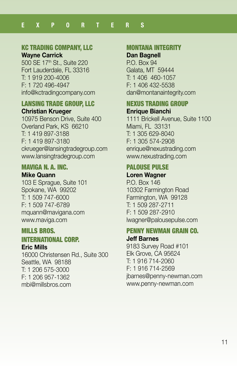# KC TRADING COMPANY, LLC

**Wayne Carrick**

500 SE 17th St., Suite 220 Fort Lauderdale, FL 33316 T: 1 919 200-4006 F: 1 720 496-4947 info@kctradingcompany.com

#### LANSING TRADE GROUP, LLC **Christian Krueger**

10975 Benson Drive, Suite 400 Overland Park, KS 66210 T: 1 419 897-3188 F: 1 419 897-3180 ckrueger@lansingtradegroup.com www.lansingtradegroup.com

#### MAVIGA N. A. INC. **Mike Quann**

103 E Sprague, Suite 101 Spokane, WA 99202 T: 1 509 747-6000 F: 1 509 747-6789 mquann@mavigana.com www.maviga.com

# MILLS BROS.

# INTERNATIONAL CORP.

**Eric Mills**

16000 Christensen Rd., Suite 300 Seattle, WA 98188 T: 1 206 575-3000 F: 1 206 957-1362 mbi@millsbros.com

# MONTANA INTEGRITY

# **Dan Bagnell**

P.O. Box 94 Galata, MT 59444 T: 1 406 460-1057 F: 1 406 432-5538 dan@montanaintegrity.com

#### NEXUS TRADING GROUP **Enrique Bianchi**

1111 Brickell Avenue, Suite 1100 Miami, FL 33131 T: 1 305 629-8040 F: 1 305 574-2908 enrique@nexustrading.com www.nexustrading.com

#### PALOUSE PULSE **Loren Wagner**

P.O. Box 146 10302 Farmington Road Farmington, WA 99128 T: 1 509 287-2711 F: 1 509 287-2910 lwagner@palousepulse.com

# PENNY NEWMAN GRAIN CO.

#### **Jeff Barnes**

9183 Survey Road #101 Elk Grove, CA 95624 T: 1 916 714-2060 F: 1 916 714-2569 jbarnes@penny-newman.com www.penny-newman.com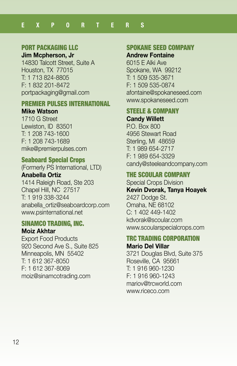#### PORT PACKAGING LLC

**Jim Mcpherson, Jr** 14830 Talcott Street, Suite A

Houston, TX 77015 T: 1 713 824-8805 F: 1 832 201-8472 portpackaging@gmail.com

#### PREMIER PULSES INTERNATIONAL

#### **Mike Watson**

1710 G Street Lewiston, ID 83501 T: 1 208 743-1600 F: 1 208 743-1689 mike@premierpulses.com

#### Seaboard Special Crops

(Formerly PS International, LTD) **Anabella Ortiz**

1414 Raleigh Road, Ste 203 Chapel Hill, NC 27517 T: 1 919 338-3244 anabella\_ortiz@seaboardcorp.com www.psinternational.net

#### SINAMCO TRADING, INC. **Moiz Akhtar**

Export Food Products 920 Second Ave S., Suite 825 Minneapolis, MN 55402 T: 1 612 367-8050 F: 1 612 367-8069 moiz@sinamcotrading.com

#### SPOKANE SEED COMPANY

#### **Andrew Fontaine**

6015 E Alki Ave Spokane, WA 99212 T: 1 509 535-3671 F: 1 509 535-0874 afontaine@spokaneseed.com www.spokaneseed.com

#### STEELE & COMPANY **Candy Willett**

P.O. Box 800 4956 Stewart Road Sterling, MI 48659 T: 1 989 654-2717 F: 1 989 654-3329 candy@steeleandcompany.com

# **THE SCOULAR COMPANY**

Special Crops Division **Kevin Dvorak, Tanya Hoayek** 2427 Dodge St. Omaha, NE 68102 C: 1 402 449-1402 kdvorak@scoular.com www.scoularspecialcrops.com

#### TRC TRADING CORPORATION **Mario Del Villar**

3721 Douglas Blvd, Suite 375 Roseville, CA 95661 T: 1 916 960-1230 F: 1 916 960-1243 mariov@trcworld.com www.riceco.com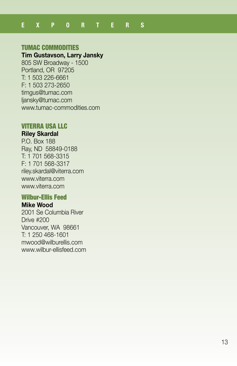#### TUMAC COMMODITIES

#### **Tim Gustavson, Larry Jansky**

805 SW Broadway - 1500 Portland, OR 97205 T: 1 503 226-6661 F: 1 503 273-2650 timgus@tumac.com ljansky@tumac.com www.tumac-commodities.com

#### VITERRA USA LLC

#### **Riley Skardal**

P.O. Box 188 Ray, ND 58849-0188 T: 1 701 568-3315 F: 1 701 568-3317 riley.skardal@viterra.com www.viterra.com www.viterra.com

#### Wilbur-Ellis Feed

#### **Mike Wood**

2001 Se Columbia River Drive #200 Vancouver, WA 98661 T: 1 250 468-1601 mwood@wilburellis.com www.wilbur-ellisfeed.com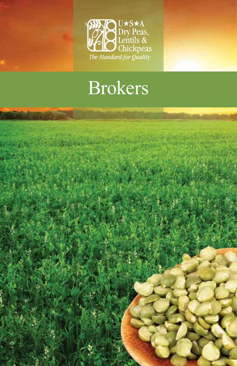

# Brokers

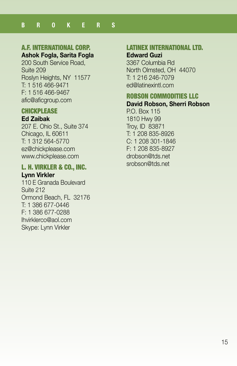# A.F. INTERNATIONAL CORP.

# **Ashok Fogla, Sarita Fogla**

200 South Service Road, Suite 209 Roslyn Heights, NY 11577 T: 1 516 466-9471 F: 1 516 466-9467 afic@aficgroup.com

#### **CHICKPLEASE**

#### **Ed Zaibak**

207 E. Ohio St., Suite 374 Chicago, IL 60611 T: 1 312 564-5770 ez@chickplease.com www.chickplease.com

#### L. H. VIRKLER & CO., INC. **Lynn Virkler**

110 E Granada Boulevard Suite 212 Ormond Beach, FL 32176 T: 1 386 677-0446 F: 1 386 677-0288 lhvirklerco@aol.com Skype: Lynn Virkler

# LATINEX INTERNATIONAL LTD.

#### **Edward Guzi**

3367 Columbia Rd North Olmsted, OH 44070 T: 1 216 246-7079 ed@latinexintl.com

# ROBSON COMMODITIES LLC

# **David Robson, Sherri Robson**

P.O. Box 115 1810 Hwy 99 Troy, ID 83871 T: 1 208 835-8926 C: 1 208 301-1846 F: 1 208 835-8927 drobson@tds.net srobson@tds.net